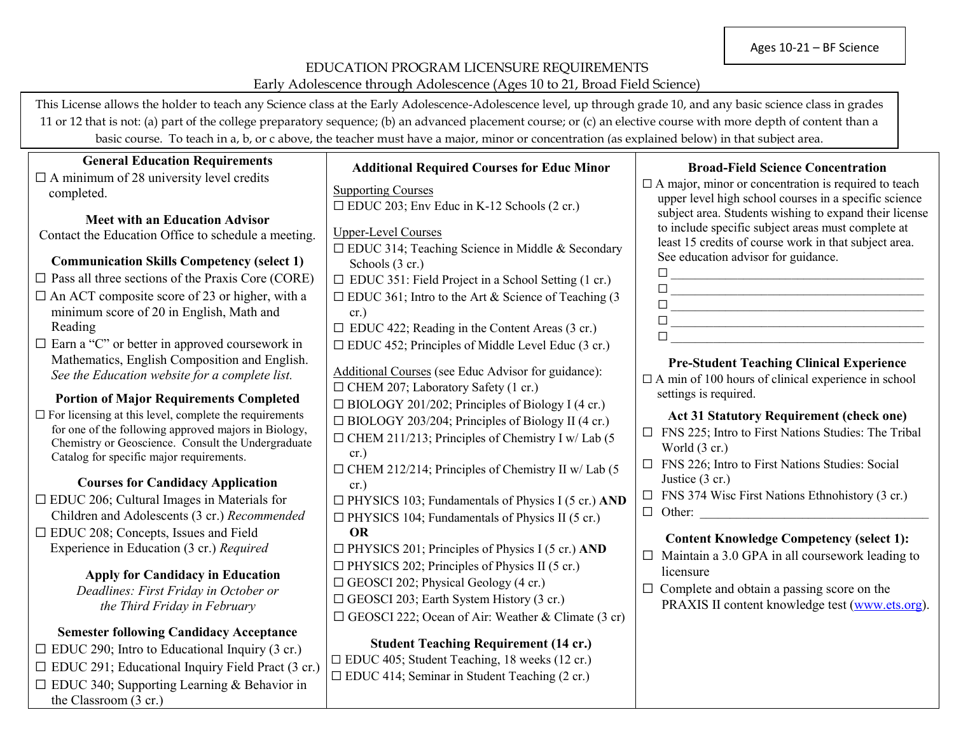### EDUCATION PROGRAM LICENSURE REQUIREMENTS Early Adolescence through Adolescence (Ages 10 to 21, Broad Field Science)

**Additional Required Courses for Educ Minor**

This License allows the holder to teach any Science class at the Early Adolescence-Adolescence level, up through grade 10, and any basic science class in grades 11 or 12 that is not: (a) part of the college preparatory sequence; (b) an advanced placement course; or (c) an elective course with more depth of content than a basic course. To teach in a, b, or c above, the teacher must have a major, minor or concentration (as explained below) in that subject area.

### **General Education Requirements**

 $\Box$  A minimum of 28 university level credits completed.

**Meet with an Education Advisor** Contact the Education Office to schedule a meeting.

### **Communication Skills Competency (select 1)**

- $\Box$  Pass all three sections of the Praxis Core (CORE)
- $\Box$  An ACT composite score of 23 or higher, with a minimum score of 20 in English, Math and Reading
- ☐ Earn a "C" or better in approved coursework in Mathematics, English Composition and English. *See the Education website for a complete list.*

#### **Portion of Major Requirements Completed**

 $\Box$  For licensing at this level, complete the requirements for one of the following approved majors in Biology, Chemistry or Geoscience. Consult the Undergraduate Catalog for specific major requirements.

# **Courses for Candidacy Application**

 $\Box$  EDUC 206; Cultural Images in Materials for Children and Adolescents (3 cr.) *Recommended* ☐ EDUC 208; Concepts, Issues and Field Experience in Education (3 cr.) *Required*

> **Apply for Candidacy in Education** *Deadlines: First Friday in October or the Third Friday in February*

# **Semester following Candidacy Acceptance**

 $\Box$  EDUC 290; Intro to Educational Inquiry (3 cr.)  $\Box$  EDUC 291; Educational Inquiry Field Pract (3 cr.) ☐ EDUC 340; Supporting Learning & Behavior in the Classroom (3 cr.)

| <b>Supporting Courses</b>                                  |
|------------------------------------------------------------|
| $\Box$ EDUC 203; Env Educ in K-12 Schools (2 cr.)          |
| <b>Upper-Level Courses</b>                                 |
| □ EDUC 314; Teaching Science in Middle & Secondary         |
| Schools (3 cr.)                                            |
| $\Box$ EDUC 351: Field Project in a School Setting (1 cr.) |
| $\Box$ EDUC 361; Intro to the Art & Science of Teaching (3 |
| cr.)                                                       |
| $\Box$ EDUC 422; Reading in the Content Areas (3 cr.)      |
| $\Box$ EDUC 452; Principles of Middle Level Educ (3 cr.)   |
| Additional Courses (see Educ Advisor for guidance):        |
| □ CHEM 207; Laboratory Safety (1 cr.)                      |
| $\Box$ BIOLOGY 201/202; Principles of Biology I (4 cr.)    |
| $\Box$ BIOLOGY 203/204; Principles of Biology II (4 cr.)   |
| $\Box$ CHEM 211/213; Principles of Chemistry I w/ Lab (5   |
| cr.)                                                       |
| $\Box$ CHEM 212/214; Principles of Chemistry II w/ Lab (5  |
| cr.)                                                       |
| $\Box$ PHYSICS 103; Fundamentals of Physics I (5 cr.) AND  |
| $\Box$ PHYSICS 104; Fundamentals of Physics II (5 cr.)     |
| <b>OR</b>                                                  |
| $\Box$ PHYSICS 201; Principles of Physics I (5 cr.) AND    |
| $\Box$ PHYSICS 202; Principles of Physics II (5 cr.)       |
| $\Box$ GEOSCI 202; Physical Geology (4 cr.)                |
| $\Box$ GEOSCI 203; Earth System History (3 cr.)            |
| $\Box$ GEOSCI 222; Ocean of Air: Weather & Climate (3 cr)  |
| Student Teaching Requirement (14 cr)                       |

**Student Teaching Requirement (14 cr.)** ☐ EDUC 405; Student Teaching, 18 weeks (12 cr.) ☐ EDUC 414; Seminar in Student Teaching (2 cr.)

#### **Broad-Field Science Concentration**

 $\Box$  A major, minor or concentration is required to teach upper level high school courses in a specific science subject area. Students wishing to expand their license to include specific subject areas must complete at least 15 credits of course work in that subject area. See education advisor for guidance.

| $\mathbf{L}$ |  |  |
|--------------|--|--|
| $\mathbf{L}$ |  |  |
| $\mathbf{L}$ |  |  |
| $\perp$      |  |  |
| $\Box$       |  |  |

## **Pre-Student Teaching Clinical Experience**

 $\Box$  A min of 100 hours of clinical experience in school settings is required.

#### **Act 31 Statutory Requirement (check one)**

- ☐ FNS 225; Intro to First Nations Studies: The Tribal World (3 cr.)
- ☐ FNS 226; Intro to First Nations Studies: Social Justice (3 cr.)
- $\Box$  FNS 374 Wisc First Nations Ethnohistory (3 cr.)
- $\Box$  Other:

# **Content Knowledge Competency (select 1):**

- $\Box$  Maintain a 3.0 GPA in all coursework leading to licensure
- $\Box$  Complete and obtain a passing score on the PRAXIS II content knowledge test [\(www.ets.org\)](http://www.ets.org/).